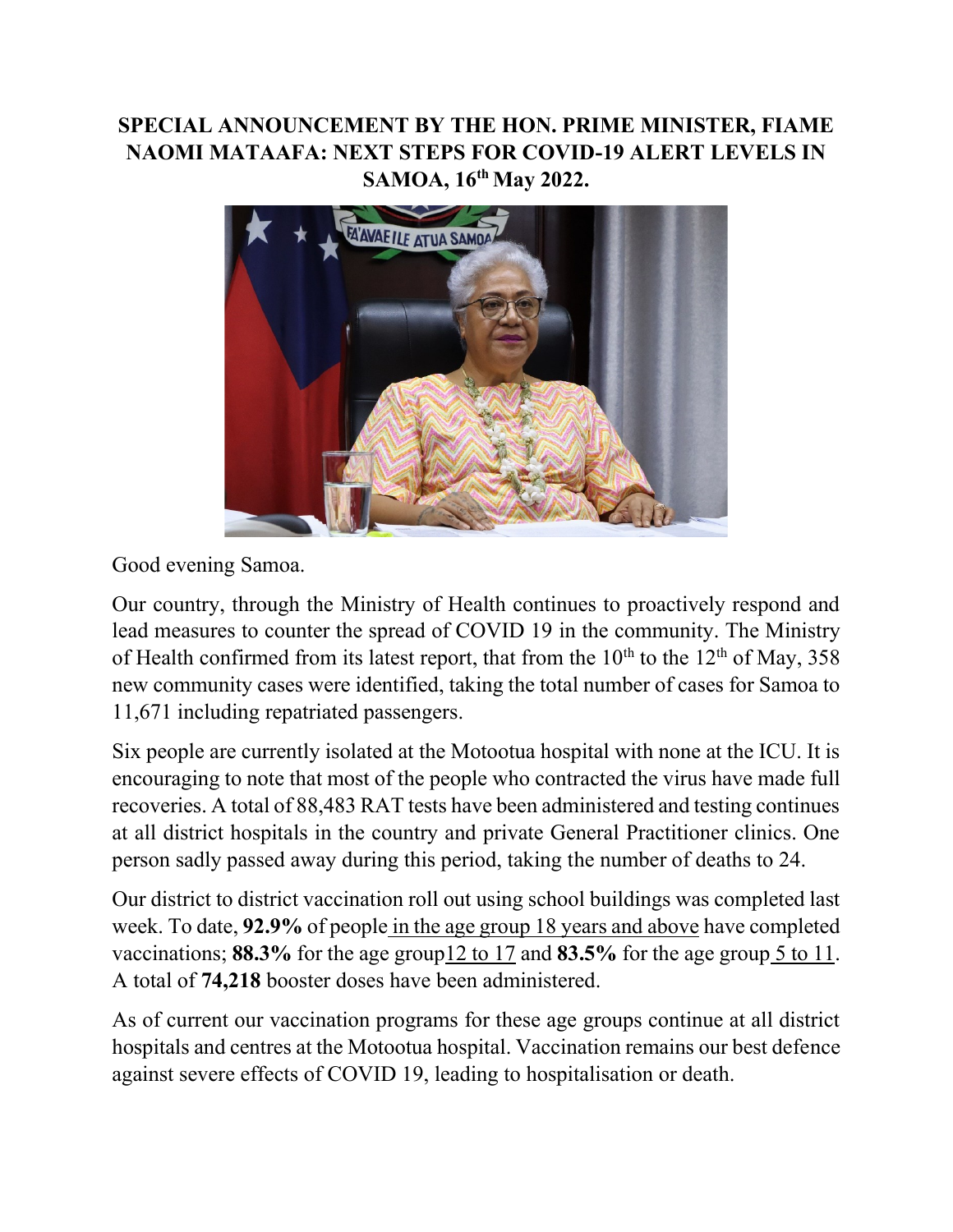## **SPECIAL ANNOUNCEMENT BY THE HON. PRIME MINISTER, FIAME NAOMI MATAAFA: NEXT STEPS FOR COVID-19 ALERT LEVELS IN SAMOA, 16th May 2022.**



Good evening Samoa.

Our country, through the Ministry of Health continues to proactively respond and lead measures to counter the spread of COVID 19 in the community. The Ministry of Health confirmed from its latest report, that from the  $10^{th}$  to the  $12^{th}$  of May, 358 new community cases were identified, taking the total number of cases for Samoa to 11,671 including repatriated passengers.

Six people are currently isolated at the Motootua hospital with none at the ICU. It is encouraging to note that most of the people who contracted the virus have made full recoveries. A total of 88,483 RAT tests have been administered and testing continues at all district hospitals in the country and private General Practitioner clinics. One person sadly passed away during this period, taking the number of deaths to 24.

Our district to district vaccination roll out using school buildings was completed last week. To date, **92.9%** of people in the age group 18 years and above have completed vaccinations; **88.3%** for the age group12 to 17 and **83.5%** for the age group 5 to 11. A total of **74,218** booster doses have been administered.

As of current our vaccination programs for these age groups continue at all district hospitals and centres at the Motootua hospital. Vaccination remains our best defence against severe effects of COVID 19, leading to hospitalisation or death.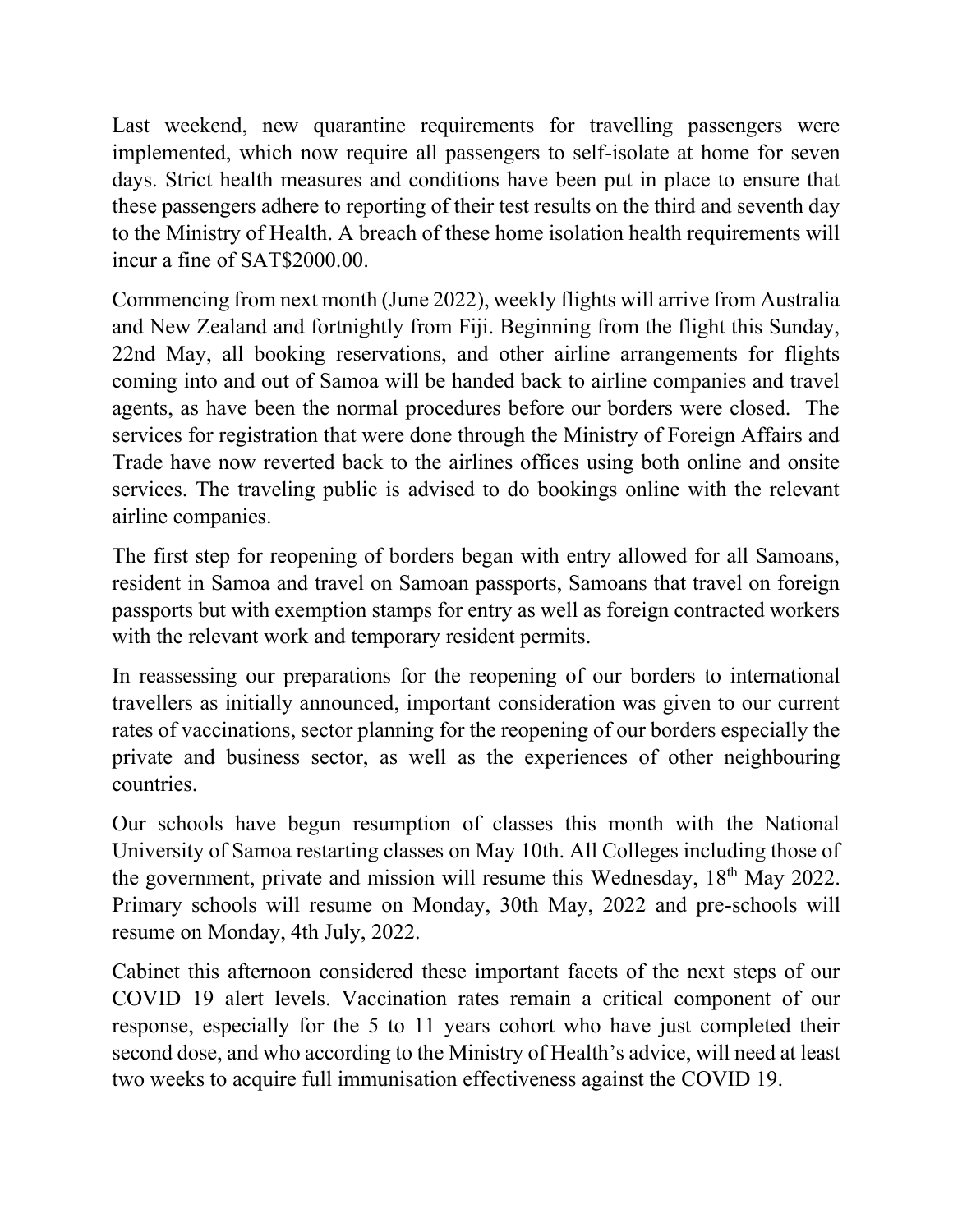Last weekend, new quarantine requirements for travelling passengers were implemented, which now require all passengers to self-isolate at home for seven days. Strict health measures and conditions have been put in place to ensure that these passengers adhere to reporting of their test results on the third and seventh day to the Ministry of Health. A breach of these home isolation health requirements will incur a fine of SAT\$2000.00.

Commencing from next month (June 2022), weekly flights will arrive from Australia and New Zealand and fortnightly from Fiji. Beginning from the flight this Sunday, 22nd May, all booking reservations, and other airline arrangements for flights coming into and out of Samoa will be handed back to airline companies and travel agents, as have been the normal procedures before our borders were closed. The services for registration that were done through the Ministry of Foreign Affairs and Trade have now reverted back to the airlines offices using both online and onsite services. The traveling public is advised to do bookings online with the relevant airline companies.

The first step for reopening of borders began with entry allowed for all Samoans, resident in Samoa and travel on Samoan passports, Samoans that travel on foreign passports but with exemption stamps for entry as well as foreign contracted workers with the relevant work and temporary resident permits.

In reassessing our preparations for the reopening of our borders to international travellers as initially announced, important consideration was given to our current rates of vaccinations, sector planning for the reopening of our borders especially the private and business sector, as well as the experiences of other neighbouring countries.

Our schools have begun resumption of classes this month with the National University of Samoa restarting classes on May 10th. All Colleges including those of the government, private and mission will resume this Wednesday, 18<sup>th</sup> May 2022. Primary schools will resume on Monday, 30th May, 2022 and pre-schools will resume on Monday, 4th July, 2022.

Cabinet this afternoon considered these important facets of the next steps of our COVID 19 alert levels. Vaccination rates remain a critical component of our response, especially for the 5 to 11 years cohort who have just completed their second dose, and who according to the Ministry of Health's advice, will need at least two weeks to acquire full immunisation effectiveness against the COVID 19.